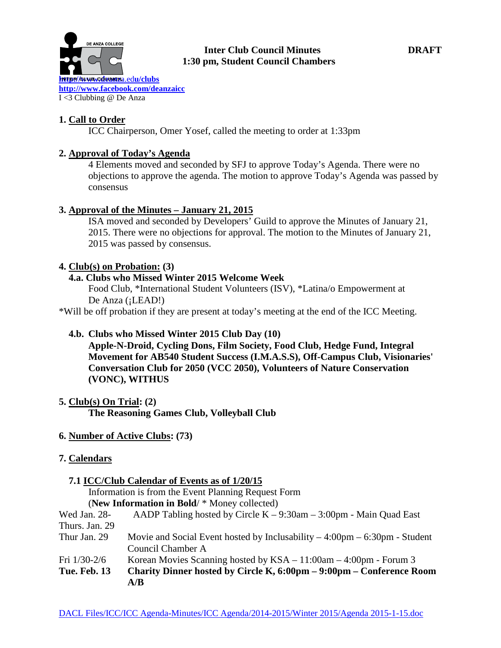

#### **Inter Club Council Minutes DRAFT 1:30 pm, Student Council Chambers**

**1. Call to Order**

ICC Chairperson, Omer Yosef, called the meeting to order at 1:33pm

# **2. Approval of Today's Agenda**

4 Elements moved and seconded by SFJ to approve Today's Agenda. There were no objections to approve the agenda. The motion to approve Today's Agenda was passed by consensus

## **3. Approval of the Minutes – January 21, 2015**

ISA moved and seconded by Developers' Guild to approve the Minutes of January 21, 2015. There were no objections for approval. The motion to the Minutes of January 21, 2015 was passed by consensus.

## **4. Club(s) on Probation: (3)**

## **4.a. Clubs who Missed Winter 2015 Welcome Week**

Food Club, \*International Student Volunteers (ISV), \*Latina/o Empowerment at De Anza (¡LEAD!)

\*Will be off probation if they are present at today's meeting at the end of the ICC Meeting.

# **4.b. Clubs who Missed Winter 2015 Club Day (10)**

**Apple-N-Droid, Cycling Dons, Film Society, Food Club, Hedge Fund, Integral Movement for AB540 Student Success (I.M.A.S.S), Off-Campus Club, Visionaries' Conversation Club for 2050 (VCC 2050), Volunteers of Nature Conservation (VONC), WITHUS**

## **5. Club(s) On Trial: (2)**

**The Reasoning Games Club, Volleyball Club**

## **6. Number of Active Clubs: (73)**

## **7. Calendars**

## **7.1 ICC/Club Calendar of Events as of 1/20/15**

 Information is from the Event Planning Request Form (**New Information in Bold**/ \* Money collected)

|                     | A/B                                                                                         |  |  |  |  |
|---------------------|---------------------------------------------------------------------------------------------|--|--|--|--|
| <b>Tue. Feb. 13</b> | Charity Dinner hosted by Circle K, 6:00pm – 9:00pm – Conference Room                        |  |  |  |  |
| Fri $1/30-2/6$      | Korean Movies Scanning hosted by $KSA - 11:00$ am $- 4:00$ pm - Forum 3                     |  |  |  |  |
|                     | Council Chamber A                                                                           |  |  |  |  |
| Thur Jan. 29        | Movie and Social Event hosted by Inclusability $-4:00 \text{pm} - 6:30 \text{pm}$ - Student |  |  |  |  |
| Thurs. Jan. 29      |                                                                                             |  |  |  |  |
| Wed Jan. 28-        | AADP Tabling hosted by Circle $K - 9:30$ am $- 3:00$ pm - Main Quad East                    |  |  |  |  |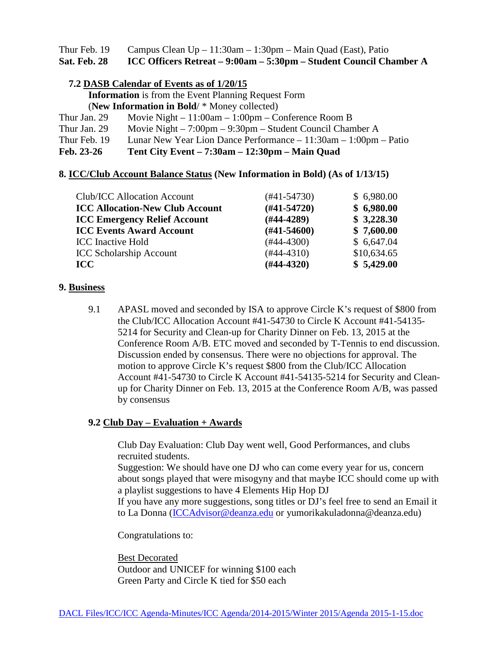Thur Feb. 19 Campus Clean  $Up - 11:30$ am – 1:30pm – Main Quad (East), Patio **Sat. Feb. 28 ICC Officers Retreat – 9:00am – 5:30pm – Student Council Chamber A**

#### **7.2 DASB Calendar of Events as of 1/20/15**

 **Information** is from the Event Planning Request Form

(**New Information in Bold**/ \* Money collected)

- Thur Jan. 29 Movie Night 11:00am 1:00pm Conference Room B
- Thur Jan. 29 Movie Night 7:00pm 9:30pm Student Council Chamber A
- Thur Feb. 19 Lunar New Year Lion Dance Performance 11:30am 1:00pm Patio

**Feb. 23-26 Tent City Event – 7:30am – 12:30pm – Main Quad**

#### **8. ICC/Club Account Balance Status (New Information in Bold) (As of 1/13/15)**

| \$5,429.00  |
|-------------|
| \$10,634.65 |
| \$6,647.04  |
| \$7,600.00  |
| \$3,228.30  |
| \$6,980.00  |
| \$6,980.00  |
|             |

#### **9. Business**

9.1 APASL moved and seconded by ISA to approve Circle K's request of \$800 from the Club/ICC Allocation Account #41-54730 to Circle K Account #41-54135- 5214 for Security and Clean-up for Charity Dinner on Feb. 13, 2015 at the Conference Room A/B. ETC moved and seconded by T-Tennis to end discussion. Discussion ended by consensus. There were no objections for approval. The motion to approve Circle K's request \$800 from the Club/ICC Allocation Account #41-54730 to Circle K Account #41-54135-5214 for Security and Cleanup for Charity Dinner on Feb. 13, 2015 at the Conference Room A/B, was passed by consensus

## **9.2 Club Day – Evaluation + Awards**

Club Day Evaluation: Club Day went well, Good Performances, and clubs recruited students.

Suggestion: We should have one DJ who can come every year for us, concern about songs played that were misogyny and that maybe ICC should come up with a playlist suggestions to have 4 Elements Hip Hop DJ

If you have any more suggestions, song titles or DJ's feel free to send an Email it to La Donna [\(ICCAdvisor@deanza.edu](mailto:ICCAdvisor@deanza.edu) or yumorikakuladonna@deanza.edu)

Congratulations to:

Best Decorated Outdoor and UNICEF for winning \$100 each Green Party and Circle K tied for \$50 each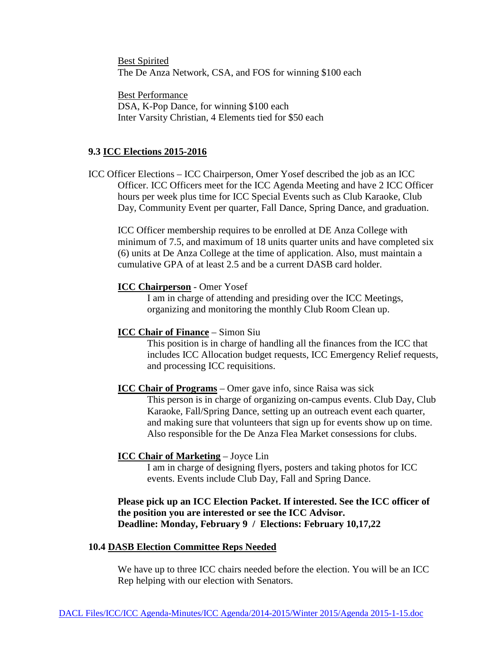Best Spirited The De Anza Network, CSA, and FOS for winning \$100 each

Best Performance DSA, K-Pop Dance, for winning \$100 each Inter Varsity Christian, 4 Elements tied for \$50 each

#### **9.3 ICC Elections 2015-2016**

ICC Officer Elections – ICC Chairperson, Omer Yosef described the job as an ICC Officer. ICC Officers meet for the ICC Agenda Meeting and have 2 ICC Officer hours per week plus time for ICC Special Events such as Club Karaoke, Club Day, Community Event per quarter, Fall Dance, Spring Dance, and graduation.

ICC Officer membership requires to be enrolled at DE Anza College with minimum of 7.5, and maximum of 18 units quarter units and have completed six (6) units at De Anza College at the time of application. Also, must maintain a cumulative GPA of at least 2.5 and be a current DASB card holder.

#### **ICC Chairperson** - Omer Yosef

I am in charge of attending and presiding over the ICC Meetings, organizing and monitoring the monthly Club Room Clean up.

#### **ICC Chair of Finance** – Simon Siu

This position is in charge of handling all the finances from the ICC that includes ICC Allocation budget requests, ICC Emergency Relief requests, and processing ICC requisitions.

#### **ICC Chair of Programs** – Omer gave info, since Raisa was sick

This person is in charge of organizing on-campus events. Club Day, Club Karaoke, Fall/Spring Dance, setting up an outreach event each quarter, and making sure that volunteers that sign up for events show up on time. Also responsible for the De Anza Flea Market consessions for clubs.

#### **ICC Chair of Marketing** – Joyce Lin

I am in charge of designing flyers, posters and taking photos for ICC events. Events include Club Day, Fall and Spring Dance.

#### **Please pick up an ICC Election Packet. If interested. See the ICC officer of the position you are interested or see the ICC Advisor. Deadline: Monday, February 9 / Elections: February 10,17,22**

#### **10.4 DASB Election Committee Reps Needed**

We have up to three ICC chairs needed before the election. You will be an ICC Rep helping with our election with Senators.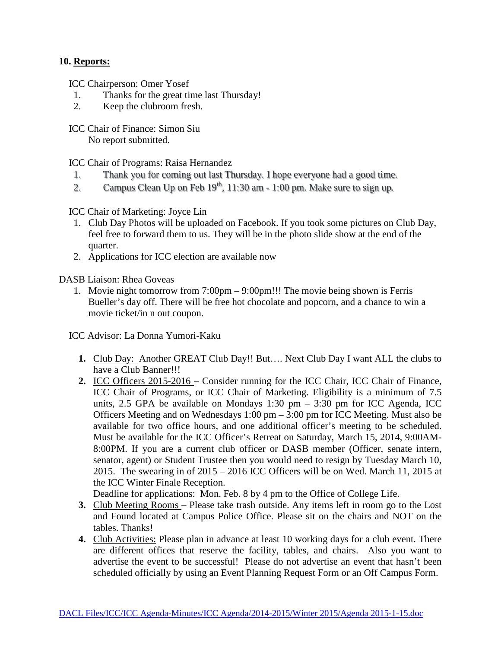## **10. Reports:**

ICC Chairperson: Omer Yosef

- 1. Thanks for the great time last Thursday!
- 2. Keep the clubroom fresh.

 ICC Chair of Finance: Simon Siu No report submitted.

ICC Chair of Programs: Raisa Hernandez

- 1. Thank you for coming out last Thursday. I hope everyone had a good time.
- 2. Campus Clean Up on Feb  $19<sup>th</sup>$ , 11:30 am 1:00 pm. Make sure to sign up.

ICC Chair of Marketing: Joyce Lin

- 1. Club Day Photos will be uploaded on Facebook. If you took some pictures on Club Day, feel free to forward them to us. They will be in the photo slide show at the end of the quarter.
- 2. Applications for ICC election are available now

DASB Liaison: Rhea Goveas

1. Movie night tomorrow from 7:00pm – 9:00pm!!! The movie being shown is Ferris Bueller's day off. There will be free hot chocolate and popcorn, and a chance to win a movie ticket/in n out coupon.

ICC Advisor: La Donna Yumori-Kaku

- **1.** Club Day: Another GREAT Club Day!! But…. Next Club Day I want ALL the clubs to have a Club Banner!!!
- **2.** ICC Officers 2015-2016 Consider running for the ICC Chair, ICC Chair of Finance, ICC Chair of Programs, or ICC Chair of Marketing. Eligibility is a minimum of 7.5 units, 2.5 GPA be available on Mondays 1:30 pm  $-$  3:30 pm for ICC Agenda, ICC Officers Meeting and on Wednesdays 1:00 pm – 3:00 pm for ICC Meeting. Must also be available for two office hours, and one additional officer's meeting to be scheduled. Must be available for the ICC Officer's Retreat on Saturday, March 15, 2014, 9:00AM-8:00PM. If you are a current club officer or DASB member (Officer, senate intern, senator, agent) or Student Trustee then you would need to resign by Tuesday March 10, 2015. The swearing in of 2015 – 2016 ICC Officers will be on Wed. March 11, 2015 at the ICC Winter Finale Reception.

Deadline for applications: Mon. Feb. 8 by 4 pm to the Office of College Life.

- **3.** Club Meeting Rooms Please take trash outside. Any items left in room go to the Lost and Found located at Campus Police Office. Please sit on the chairs and NOT on the tables. Thanks!
- **4.** Club Activities: Please plan in advance at least 10 working days for a club event. There are different offices that reserve the facility, tables, and chairs. Also you want to advertise the event to be successful! Please do not advertise an event that hasn't been scheduled officially by using an Event Planning Request Form or an Off Campus Form.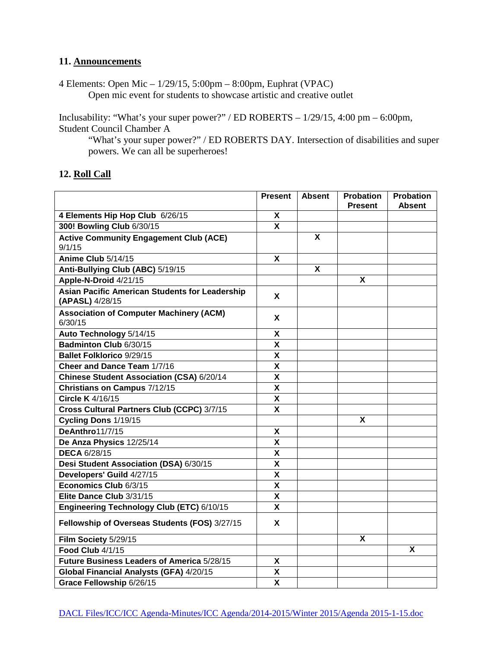#### **11. Announcements**

4 Elements: Open Mic – 1/29/15, 5:00pm – 8:00pm, Euphrat (VPAC) Open mic event for students to showcase artistic and creative outlet

Inclusability: "What's your super power?" / ED ROBERTS – 1/29/15, 4:00 pm – 6:00pm, Student Council Chamber A

"What's your super power?" / ED ROBERTS DAY. Intersection of disabilities and super powers. We can all be superheroes!

|                                                                   | <b>Present</b> | <b>Absent</b> | Probation<br><b>Present</b> | <b>Probation</b><br><b>Absent</b> |
|-------------------------------------------------------------------|----------------|---------------|-----------------------------|-----------------------------------|
| 4 Elements Hip Hop Club 6/26/15                                   | Χ              |               |                             |                                   |
| 300! Bowling Club 6/30/15                                         | $\mathbf{x}$   |               |                             |                                   |
| <b>Active Community Engagement Club (ACE)</b><br>9/1/15           |                | X             |                             |                                   |
| Anime Club 5/14/15                                                | X.             |               |                             |                                   |
| Anti-Bullying Club (ABC) 5/19/15                                  |                | X             |                             |                                   |
| Apple-N-Droid 4/21/15                                             |                |               | X                           |                                   |
| Asian Pacific American Students for Leadership<br>(APASL) 4/28/15 | X              |               |                             |                                   |
| <b>Association of Computer Machinery (ACM)</b><br>6/30/15         | X.             |               |                             |                                   |
| Auto Technology 5/14/15                                           | X              |               |                             |                                   |
| Badminton Club 6/30/15                                            | X              |               |                             |                                   |
| <b>Ballet Folklorico 9/29/15</b>                                  | X              |               |                             |                                   |
| Cheer and Dance Team 1/7/16                                       | X              |               |                             |                                   |
| Chinese Student Association (CSA) 6/20/14                         | X              |               |                             |                                   |
| Christians on Campus 7/12/15                                      | X              |               |                             |                                   |
| Circle K 4/16/15                                                  | X              |               |                             |                                   |
| Cross Cultural Partners Club (CCPC) 3/7/15                        | X              |               |                             |                                   |
| Cycling Dons 1/19/15                                              |                |               | X                           |                                   |
| DeAnthro11/7/15                                                   | X              |               |                             |                                   |
| De Anza Physics 12/25/14                                          | X              |               |                             |                                   |
| <b>DECA 6/28/15</b>                                               | X              |               |                             |                                   |
| Desi Student Association (DSA) 6/30/15                            | X              |               |                             |                                   |
| Developers' Guild 4/27/15                                         | X              |               |                             |                                   |
| Economics Club 6/3/15                                             | X              |               |                             |                                   |
| Elite Dance Club 3/31/15                                          | X              |               |                             |                                   |
| Engineering Technology Club (ETC) 6/10/15                         | X              |               |                             |                                   |
| Fellowship of Overseas Students (FOS) 3/27/15                     | X.             |               |                             |                                   |
| Film Society 5/29/15                                              |                |               | X                           |                                   |
| Food Club 4/1/15                                                  |                |               |                             | X                                 |
| Future Business Leaders of America 5/28/15                        | X              |               |                             |                                   |
| Global Financial Analysts (GFA) 4/20/15                           | X              |               |                             |                                   |
| Grace Fellowship 6/26/15                                          | X              |               |                             |                                   |

## **12. Roll Call**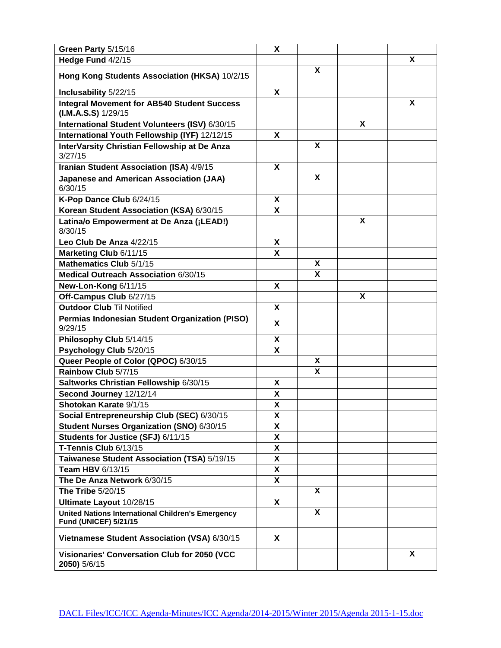| Green Party 5/15/16                                                                      | X                         |                         |   |   |
|------------------------------------------------------------------------------------------|---------------------------|-------------------------|---|---|
| Hedge Fund 4/2/15                                                                        |                           |                         |   | X |
| Hong Kong Students Association (HKSA) 10/2/15                                            |                           | X                       |   |   |
| Inclusability 5/22/15                                                                    | X                         |                         |   |   |
| <b>Integral Movement for AB540 Student Success</b><br>$(LM.A.S.S)$ 1/29/15               |                           |                         |   | X |
| International Student Volunteers (ISV) 6/30/15                                           |                           |                         | X |   |
| International Youth Fellowship (IYF) 12/12/15                                            | X                         |                         |   |   |
| InterVarsity Christian Fellowship at De Anza<br>3/27/15                                  |                           | X                       |   |   |
| Iranian Student Association (ISA) 4/9/15                                                 | X                         |                         |   |   |
| <b>Japanese and American Association (JAA)</b><br>6/30/15                                |                           | X                       |   |   |
| K-Pop Dance Club 6/24/15                                                                 | X                         |                         |   |   |
| Korean Student Association (KSA) 6/30/15                                                 | X                         |                         |   |   |
| Latina/o Empowerment at De Anza (¡LEAD!)<br>8/30/15                                      |                           |                         | X |   |
| Leo Club De Anza 4/22/15                                                                 | X                         |                         |   |   |
| Marketing Club 6/11/15                                                                   | X                         |                         |   |   |
| Mathematics Club 5/1/15                                                                  |                           | X                       |   |   |
| Medical Outreach Association 6/30/15                                                     |                           | X                       |   |   |
| New-Lon-Kong 6/11/15                                                                     | X                         |                         |   |   |
| Off-Campus Club 6/27/15                                                                  |                           |                         | X |   |
| <b>Outdoor Club Til Notified</b>                                                         | X                         |                         |   |   |
| Permias Indonesian Student Organization (PISO)<br>9/29/15                                | X                         |                         |   |   |
| Philosophy Club 5/14/15                                                                  | X                         |                         |   |   |
| Psychology Club 5/20/15                                                                  | X                         |                         |   |   |
| Queer People of Color (QPOC) 6/30/15                                                     |                           | Χ                       |   |   |
| Rainbow Club 5/7/15                                                                      |                           | $\overline{\mathbf{x}}$ |   |   |
| Saltworks Christian Fellowship 6/30/15                                                   | X                         |                         |   |   |
| Second Journey 12/12/14                                                                  | X                         |                         |   |   |
| Shotokan Karate 9/1/15                                                                   | X                         |                         |   |   |
| Social Entrepreneurship Club (SEC) 6/30/15                                               | X                         |                         |   |   |
| Student Nurses Organization (SNO) 6/30/15                                                | χ                         |                         |   |   |
| Students for Justice (SFJ) 6/11/15                                                       | X                         |                         |   |   |
| T-Tennis Club 6/13/15                                                                    | X                         |                         |   |   |
| Taiwanese Student Association (TSA) 5/19/15                                              | X                         |                         |   |   |
| Team HBV 6/13/15                                                                         | X                         |                         |   |   |
| The De Anza Network 6/30/15                                                              | $\boldsymbol{\mathsf{X}}$ |                         |   |   |
| The Tribe 5/20/15                                                                        |                           | X                       |   |   |
| Ultimate Layout 10/28/15                                                                 | X                         |                         |   |   |
| <b>United Nations International Children's Emergency</b><br><b>Fund (UNICEF) 5/21/15</b> |                           | X                       |   |   |
| Vietnamese Student Association (VSA) 6/30/15                                             | X                         |                         |   |   |
| Visionaries' Conversation Club for 2050 (VCC<br>2050) 5/6/15                             |                           |                         |   | X |